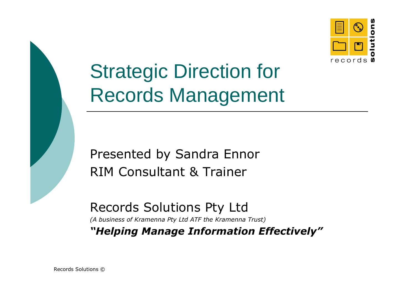



Strategic Direction forRecords Management

Presented by Sandra EnnorRIM Consultant & Trainer

Records Solutions Pty Ltd

(A business of Kramenna Pty Ltd ATF the Kramenna Trust)

"Helping Manage Information Effectively"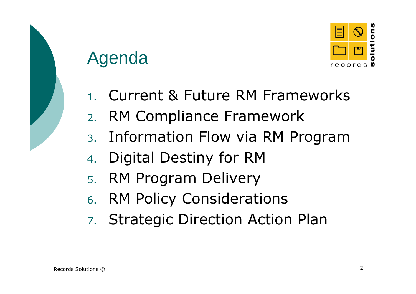

## Agenda

- 1. Current & Future RM Frameworks
- 2.RM Compliance Framework
- Information Flow via RM Program3.
- 4.Digital Destiny for RM
- 5. RM Program Delivery
- 6. RM Policy Considerations
- 7. Strategic Direction Action Plan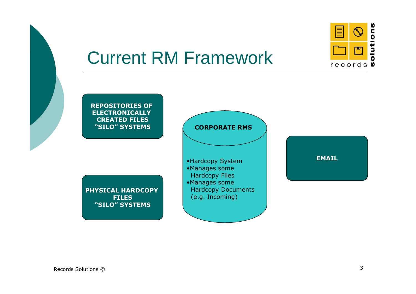

# Current RM Framework

REPOSITORIES OF ELECTRONICALLY CREATED FILES"SILO" SYSTEMS

PHYSICAL HARDCOPY **FILES** "SILO" SYSTEMS



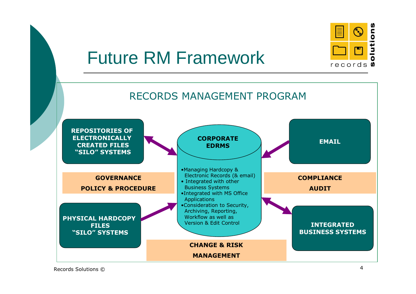

# Future RM Framework



Records Solutions © $\circ$  4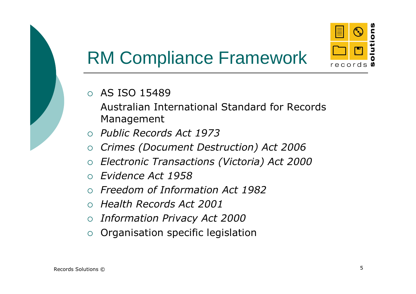

# RM Compliance Framework

### $\circ$  AS ISO 15489

 Australian International Standard for Records Management

- o Public Records Act 1973
- $\circ$  Crimes (Document Destruction) Act 2006  $\Omega$
- $\circ$  Electronic Transactions (Victoria) Act 2000  $\circ$
- $\bigcap$ Evidence Act 1958
- $\circ$  Freedom of Information Act 1982  $\bigcap$
- $\circ$  Health Records Act 2001
- $\circ$  Information Privacy Act 2000  $\overline{O}$
- $\circ$  Organisation specific legislation  $\circ$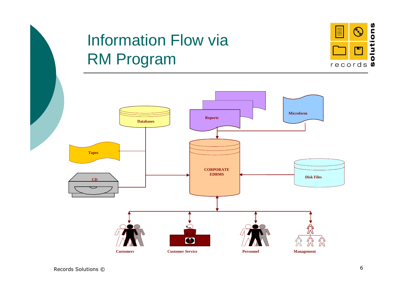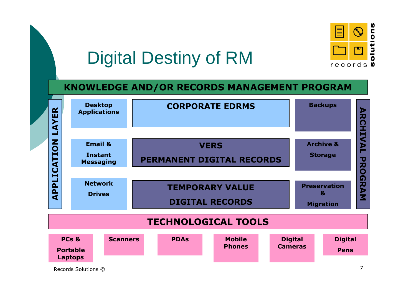

# Digital Destiny of RM

### KNOWLEDGE AND/OR RECORDS MANAGEMENT PROGRAM

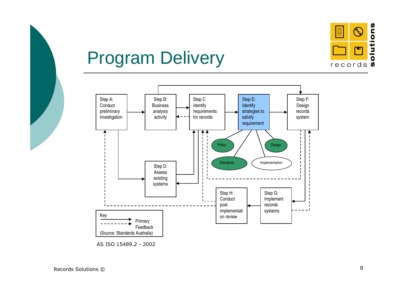

# Program Delivery



AS ISO 15489.2 - <sup>2002</sup>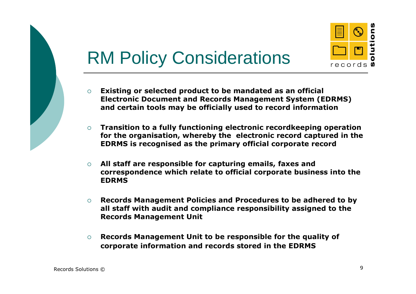

# RM Policy Considerations

- $\circ$  Existing or selected product to be mandated as an official Electronic Document and Records Management System (EDRMS) and certain tools may be officially used to record information
- $\circ$  Transition to a fully functioning electronic recordkeeping operation for the organisation, whereby the electronic record captured in the EDRMS is recognised as the primary official corporate record
- $\circ$  All staff are responsible for capturing emails, faxes and correspondence which relate to official corporate business into the EDRMS
- $\Omega$  Records Management Policies and Procedures to be adhered to by all staff with audit and compliance responsibility assigned to the Records Management Unit
- $\circ$  Records Management Unit to be responsible for the quality of corporate information and records stored in the EDRMS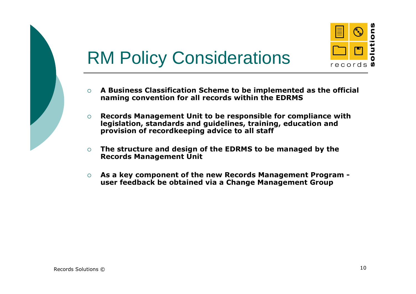

# RM Policy Considerations

- $\Omega$  A Business Classification Scheme to be implemented as the official naming convention for all records within the EDRMS
- $\circ$  Records Management Unit to be responsible for compliance with legislation, standards and guidelines, training, education and provision of recordkeeping advice to all staff
- $\circ$  The structure and design of the EDRMS to be managed by the Records Management Unit
- $\circ$  As a key component of the new Records Management Program user feedback be obtained via a Change Management Group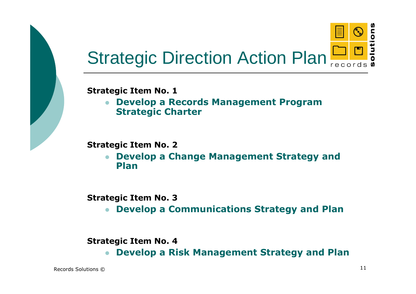

Strategic Item No. 1

 Develop a Records Management Program  $\bullet$ Strategic Charter

Strategic Item No. 2

 Develop a Change Management Strategy and  $\bullet$ Plan

Strategic Item No. 3

 Develop a Communications Strategy and Plan-

Strategic Item No. 4

 $\bullet$ Develop a Risk Management Strategy and Plan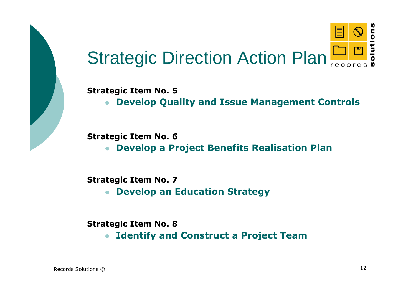

#### Strategic Item No. 5

 Develop Quality and Issue Management Controls-

#### Strategic Item No. 6

 Develop a Project Benefits Realisation Plan $\bullet$ 

#### Strategic Item No. 7

 Develop an Education Strategy $\bullet$ 

#### Strategic Item No. 8

 $\bullet$ Identify and Construct a Project Team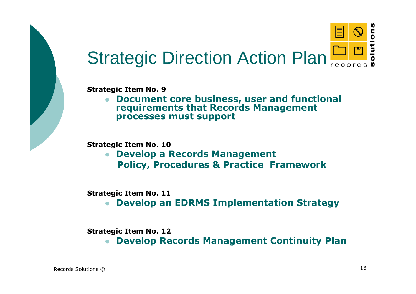

Strategic Item No. 9

• Document core business, user and functional  $\bullet$ requirements that Records Management processes must support

Strategic Item No. 10

**• Develop a Records Management**  $\bullet$ Policy, Procedures & Practice Framework

Strategic Item No. 11

 Develop an EDRMS Implementation Strategy $\bullet$ 

Strategic Item No. 12

 $\bullet$ Develop Records Management Continuity Plan